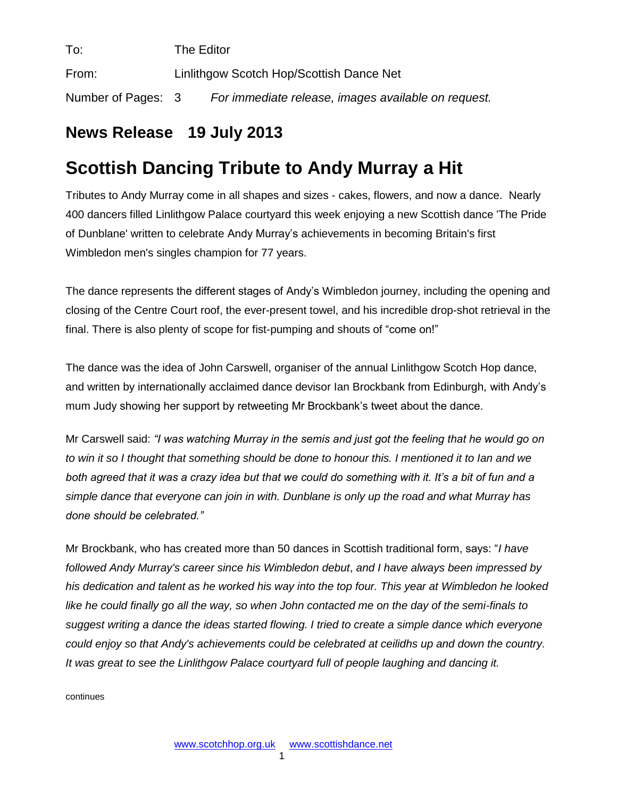| To:                | The Editor                               |                                                     |
|--------------------|------------------------------------------|-----------------------------------------------------|
| From:              | Linlithgow Scotch Hop/Scottish Dance Net |                                                     |
| Number of Pages: 3 |                                          | For immediate release, images available on request. |

## **News Release 19 July 2013**

## **Scottish Dancing Tribute to Andy Murray a Hit**

Tributes to Andy Murray come in all shapes and sizes - cakes, flowers, and now a dance. Nearly 400 dancers filled Linlithgow Palace courtyard this week enjoying a new Scottish dance 'The Pride of Dunblane' written to celebrate Andy Murray's achievements in becoming Britain's first Wimbledon men's singles champion for 77 years.

The dance represents the different stages of Andy's Wimbledon journey, including the opening and closing of the Centre Court roof, the ever-present towel, and his incredible drop-shot retrieval in the final. There is also plenty of scope for fist-pumping and shouts of "come on!"

The dance was the idea of John Carswell, organiser of the annual Linlithgow Scotch Hop dance, and written by internationally acclaimed dance devisor Ian Brockbank from Edinburgh, with Andy's mum Judy showing her support by retweeting Mr Brockbank's tweet about the dance.

Mr Carswell said: *"I was watching Murray in the semis and just got the feeling that he would go on to win it so I thought that something should be done to honour this. I mentioned it to Ian and we both agreed that it was a crazy idea but that we could do something with it. It's a bit of fun and a simple dance that everyone can join in with. Dunblane is only up the road and what Murray has done should be celebrated."*

Mr Brockbank, who has created more than 50 dances in Scottish traditional form, says: "*I have followed Andy Murray's career since his Wimbledon debut*, *and I have always been impressed by his dedication and talent as he worked his way into the top four. This year at Wimbledon he looked like he could finally go all the way, so when John contacted me on the day of the semi-finals to suggest writing a dance the ideas started flowing. I tried to create a simple dance which everyone could enjoy so that Andy's achievements could be celebrated at ceilidhs up and down the country. It was great to see the Linlithgow Palace courtyard full of people laughing and dancing it.*

continues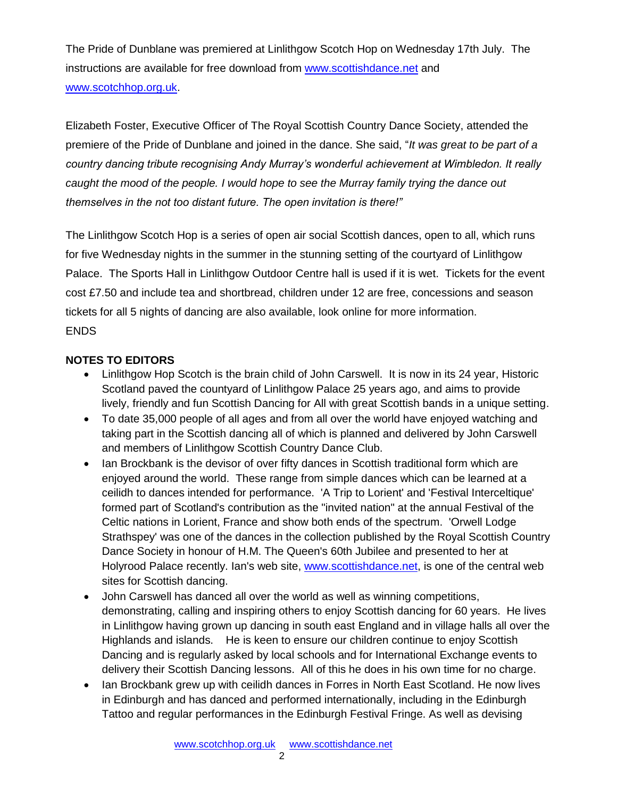The Pride of Dunblane was premiered at Linlithgow Scotch Hop on Wednesday 17th July. The instructions are available for free download from [www.scottishdance.net](http://www.scottishdance.net/) and [www.scotchhop.org.uk.](http://www.scotchhop.org.uk/)

Elizabeth Foster, Executive Officer of The Royal Scottish Country Dance Society, attended the premiere of the Pride of Dunblane and joined in the dance. She said, "*It was great to be part of a country dancing tribute recognising Andy Murray's wonderful achievement at Wimbledon. It really caught the mood of the people. I would hope to see the Murray family trying the dance out themselves in the not too distant future. The open invitation is there!"*

The Linlithgow Scotch Hop is a series of open air social Scottish dances, open to all, which runs for five Wednesday nights in the summer in the stunning setting of the courtyard of Linlithgow Palace. The Sports Hall in Linlithgow Outdoor Centre hall is used if it is wet. Tickets for the event cost £7.50 and include tea and shortbread, children under 12 are free, concessions and season tickets for all 5 nights of dancing are also available, look online for more information. ENDS

## **NOTES TO EDITORS**

- Linlithgow Hop Scotch is the brain child of John Carswell. It is now in its 24 year, Historic Scotland paved the countyard of Linlithgow Palace 25 years ago, and aims to provide lively, friendly and fun Scottish Dancing for All with great Scottish bands in a unique setting.
- To date 35,000 people of all ages and from all over the world have enjoyed watching and taking part in the Scottish dancing all of which is planned and delivered by John Carswell and members of Linlithgow Scottish Country Dance Club.
- Ian Brockbank is the devisor of over fifty dances in Scottish traditional form which are enjoyed around the world. These range from simple dances which can be learned at a ceilidh to dances intended for performance. 'A Trip to Lorient' and 'Festival Interceltique' formed part of Scotland's contribution as the "invited nation" at the annual Festival of the Celtic nations in Lorient, France and show both ends of the spectrum. 'Orwell Lodge Strathspey' was one of the dances in the collection published by the Royal Scottish Country Dance Society in honour of H.M. The Queen's 60th Jubilee and presented to her at Holyrood Palace recently. Ian's web site, [www.scottishdance.net,](http://www.scottishdance.net/) is one of the central web sites for Scottish dancing.
- John Carswell has danced all over the world as well as winning competitions, demonstrating, calling and inspiring others to enjoy Scottish dancing for 60 years. He lives in Linlithgow having grown up dancing in south east England and in village halls all over the Highlands and islands. He is keen to ensure our children continue to enjoy Scottish Dancing and is regularly asked by local schools and for International Exchange events to delivery their Scottish Dancing lessons. All of this he does in his own time for no charge.
- Ian Brockbank grew up with ceilidh dances in Forres in North East Scotland. He now lives in Edinburgh and has danced and performed internationally, including in the Edinburgh Tattoo and regular performances in the Edinburgh Festival Fringe. As well as devising